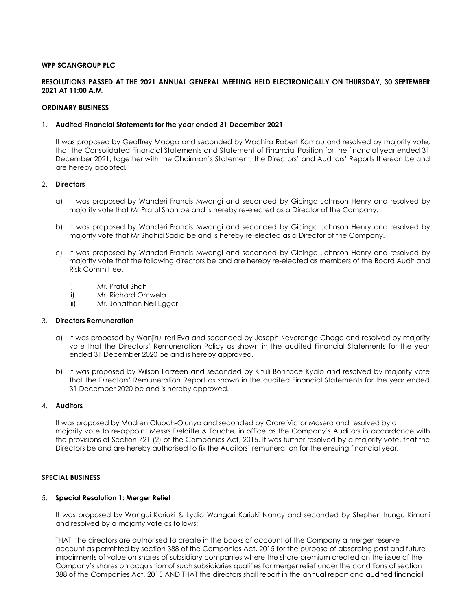#### **WPP SCANGROUP PLC**

## **RESOLUTIONS PASSED AT THE 2021 ANNUAL GENERAL MEETING HELD ELECTRONICALLY ON THURSDAY, 30 SEPTEMBER 2021 AT 11:00 A.M.**

#### **ORDINARY BUSINESS**

#### 1. **Audited Financial Statements for the year ended 31 December 2021**

It was proposed by Geoffrey Maoga and seconded by Wachira Robert Kamau and resolved by majority vote, that the Consolidated Financial Statements and Statement of Financial Position for the financial year ended 31 December 2021, together with the Chairman's Statement, the Directors' and Auditors' Reports thereon be and are hereby adopted.

## 2. **Directors**

- a) It was proposed by Wanderi Francis Mwangi and seconded by Gicinga Johnson Henry and resolved by majority vote that Mr Pratul Shah be and is hereby re-elected as a Director of the Company.
- b) It was proposed by Wanderi Francis Mwangi and seconded by Gicinga Johnson Henry and resolved by majority vote that Mr Shahid Sadiq be and is hereby re-elected as a Director of the Company.
- c) It was proposed by Wanderi Francis Mwangi and seconded by Gicinga Johnson Henry and resolved by majority vote that the following directors be and are hereby re-elected as members of the Board Audit and Risk Committee.
	- i) Mr. Pratul Shah
	- ii) Mr. Richard Omwela
	- iii) Mr. Jonathan Neil Eggar

#### 3. **Directors Remuneration**

- a) It was proposed by Wanjiru Ireri Eva and seconded by Joseph Keverenge Chogo and resolved by majority vote that the Directors' Remuneration Policy as shown in the audited Financial Statements for the year ended 31 December 2020 be and is hereby approved.
- b) It was proposed by Wilson Farzeen and seconded by Kituli Boniface Kyalo and resolved by majority vote that the Directors' Remuneration Report as shown in the audited Financial Statements for the year ended 31 December 2020 be and is hereby approved.

#### 4. **Auditors**

It was proposed by Madren Oluoch-Olunya and seconded by Orare Victor Mosera and resolved by a majority vote to re-appoint Messrs Deloitte & Touche, in office as the Company's Auditors in accordance with the provisions of Section 721 (2) of the Companies Act, 2015. It was further resolved by a majority vote, that the Directors be and are hereby authorised to fix the Auditors' remuneration for the ensuing financial year.

## **SPECIAL BUSINESS**

#### 5. **Special Resolution 1: Merger Relief**

It was proposed by Wangui Kariuki & Lydia Wangari Kariuki Nancy and seconded by Stephen Irungu Kimani and resolved by a majority vote as follows:

THAT, the directors are authorised to create in the books of account of the Company a merger reserve account as permitted by section 388 of the Companies Act, 2015 for the purpose of absorbing past and future impairments of value on shares of subsidiary companies where the share premium created on the issue of the Company's shares on acquisition of such subsidiaries qualifies for merger relief under the conditions of section 388 of the Companies Act, 2015 AND THAT the directors shall report in the annual report and audited financial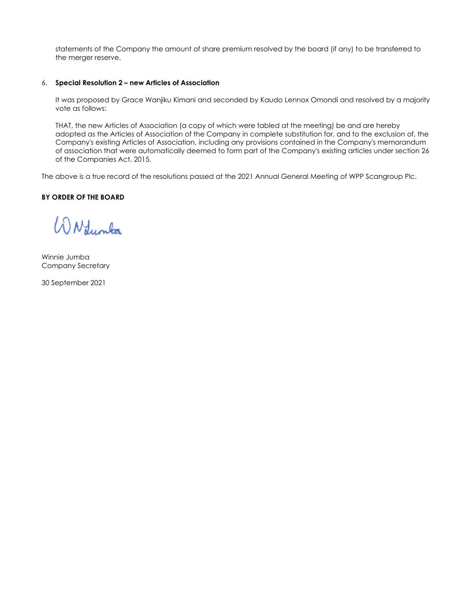statements of the Company the amount of share premium resolved by the board (if any) to be transferred to the merger reserve.

## 6. **Special Resolution 2 – new Articles of Association**

It was proposed by Grace Wanjiku Kimani and seconded by Kaudo Lennox Omondi and resolved by a majority vote as follows:

THAT, the new Articles of Association (a copy of which were tabled at the meeting) be and are hereby adopted as the Articles of Association of the Company in complete substitution for, and to the exclusion of, the Company's existing Articles of Association, including any provisions contained in the Company's memorandum of association that were automatically deemed to form part of the Company's existing articles under section 26 of the Companies Act, 2015.

The above is a true record of the resolutions passed at the 2021 Annual General Meeting of WPP Scangroup Plc.

# **BY ORDER OF THE BOARD**

WN dumba

Winnie Jumba Company Secretary

30 September 2021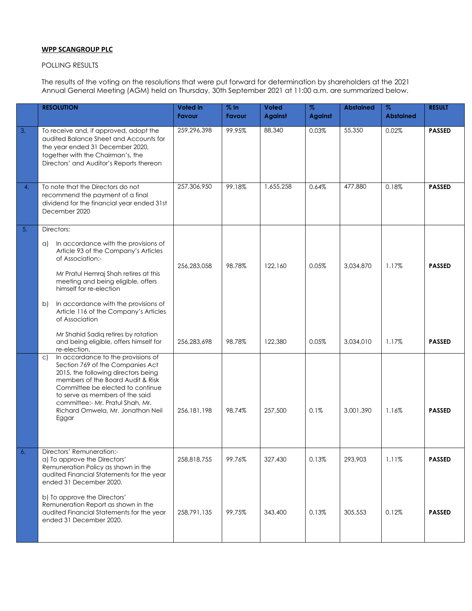## **WPP SCANGROUP PLC**

# POLLING RESULTS

The results of the voting on the resolutions that were put forward for determination by shareholders at the 2021 Annual General Meeting (AGM) held on Thursday, 30th September 2021 at 11:00 a.m. are summarized below.

|    | <b>RESOLUTION</b>                                                                                                                                                                                                                                                                                                                       | Voted in<br><b>Favour</b> | % In<br>Favour | Voted<br><b>Against</b> | $\%$<br><b>Against</b> | <b>Abstained</b> | $\%$<br><b>Abstained</b> | <b>RESULT</b> |
|----|-----------------------------------------------------------------------------------------------------------------------------------------------------------------------------------------------------------------------------------------------------------------------------------------------------------------------------------------|---------------------------|----------------|-------------------------|------------------------|------------------|--------------------------|---------------|
| 3. | To receive and, if approved, adopt the<br>audited Balance Sheet and Accounts for<br>the year ended 31 December 2020,<br>together with the Chairman's, the<br>Directors' and Auditor's Reports thereon                                                                                                                                   | 259,296,398               | 99.95%         | 88,340                  | 0.03%                  | 55,350           | 0.02%                    | <b>PASSED</b> |
| 4. | To note that the Directors do not<br>recommend the payment of a final<br>dividend for the financial year ended 31st<br>December 2020                                                                                                                                                                                                    | 257,306,950               | 99.18%         | 1,655,258               | 0.64%                  | 477,880          | 0.18%                    | <b>PASSED</b> |
| 5. | Directors:<br>In accordance with the provisions of<br>a)<br>Article 93 of the Company's Articles<br>of Association:-<br>Mr Pratul Hemraj Shah retires at this<br>meeting and being eligible, offers<br>himself for re-election<br>In accordance with the provisions of<br>b)<br>Article 116 of the Company's Articles<br>of Association | 256,283,058               | 98.78%         | 122.160                 | 0.05%                  | 3,034,870        | 1.17%                    | <b>PASSED</b> |
|    | Mr Shahid Sadiq retires by rotation<br>and being eligible, offers himself for<br>re-election.                                                                                                                                                                                                                                           | 256,283,698               | 98.78%         | 122,380                 | 0.05%                  | 3,034,010        | 1.17%                    | <b>PASSED</b> |
|    | In accordance to the provisions of<br>$\mathsf{C}$<br>Section 769 of the Companies Act<br>2015, the following directors being<br>members of the Board Audit & Risk<br>Committee be elected to continue<br>to serve as members of the said<br>committee:- Mr. Pratul Shah, Mr.<br>Richard Omwela, Mr. Jonathan Neil<br>Eggar             | 256, 181, 198             | 98.74%         | 257,500                 | 0.1%                   | 3,001,390        | 1.16%                    | <b>PASSED</b> |
| 6. | Directors' Remuneration:-<br>a) To approve the Directors'<br>Remuneration Policy as shown in the<br>audited Financial Statements for the year<br>ended 31 December 2020.                                                                                                                                                                | 258,818,755               | 99.76%         | 327,430                 | 0.13%                  | 293,903          | 1.11%                    | <b>PASSED</b> |
|    | b) To approve the Directors'<br>Remuneration Report as shown in the<br>audited Financial Statements for the year<br>ended 31 December 2020.                                                                                                                                                                                             | 258,791,135               | 99.75%         | 343,400                 | 0.13%                  | 305,553          | 0.12%                    | <b>PASSED</b> |